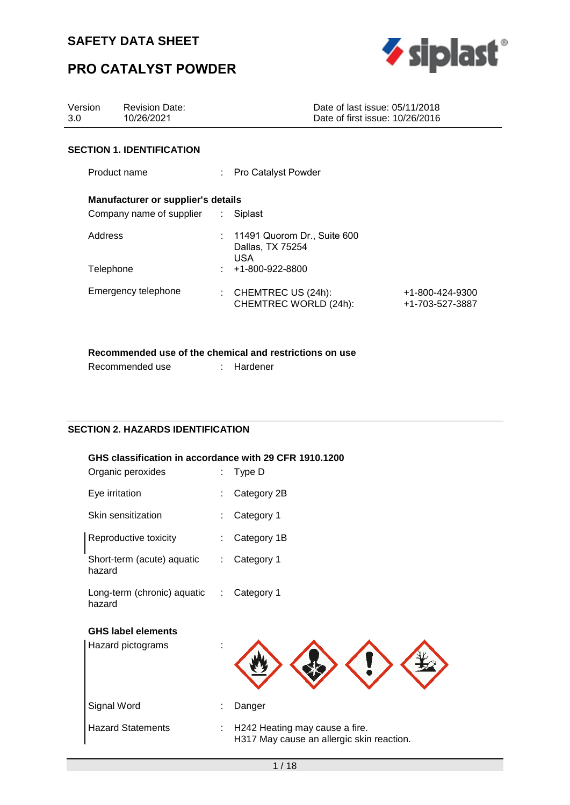

# **PRO CATALYST POWDER**

| Version<br>3.0 | <b>Revision Date:</b><br>10/26/2021                                             |                                                                   | Date of last issue: 05/11/2018<br>Date of first issue: 10/26/2016 |                                    |
|----------------|---------------------------------------------------------------------------------|-------------------------------------------------------------------|-------------------------------------------------------------------|------------------------------------|
|                | <b>SECTION 1. IDENTIFICATION</b>                                                |                                                                   |                                                                   |                                    |
| Product name   |                                                                                 | : Pro Catalyst Powder                                             |                                                                   |                                    |
|                | <b>Manufacturer or supplier's details</b><br>Company name of supplier : Siplast |                                                                   |                                                                   |                                    |
| Address        |                                                                                 | $: 11491$ Quorom Dr., Suite 600<br>Dallas, TX 75254<br><b>USA</b> |                                                                   |                                    |
| Telephone      |                                                                                 | $\div$ +1-800-922-8800                                            |                                                                   |                                    |
|                | Emergency telephone                                                             | : CHEMTREC US $(24h)$ :<br>CHEMTREC WORLD (24h):                  |                                                                   | +1-800-424-9300<br>+1-703-527-3887 |

## **Recommended use of the chemical and restrictions on use**

| Recommended use | Hardener |
|-----------------|----------|
|                 |          |

## **SECTION 2. HAZARDS IDENTIFICATION**

### **GHS classification in accordance with 29 CFR 1910.1200**

| Organic peroxides                     | t                             | Type D                                                                      |
|---------------------------------------|-------------------------------|-----------------------------------------------------------------------------|
| Eye irritation                        |                               | Category 2B                                                                 |
| Skin sensitization                    |                               | Category 1                                                                  |
| Reproductive toxicity                 |                               | Category 1B                                                                 |
| Short-term (acute) aquatic<br>hazard  |                               | Category 1                                                                  |
| Long-term (chronic) aquatic<br>hazard | $\mathcal{I}^{\mathcal{I}}$ . | Category 1                                                                  |
| <b>GHS label elements</b>             |                               |                                                                             |
| Hazard pictograms                     |                               |                                                                             |
| Signal Word                           |                               | Danger                                                                      |
| <b>Hazard Statements</b>              |                               | H242 Heating may cause a fire.<br>H317 May cause an allergic skin reaction. |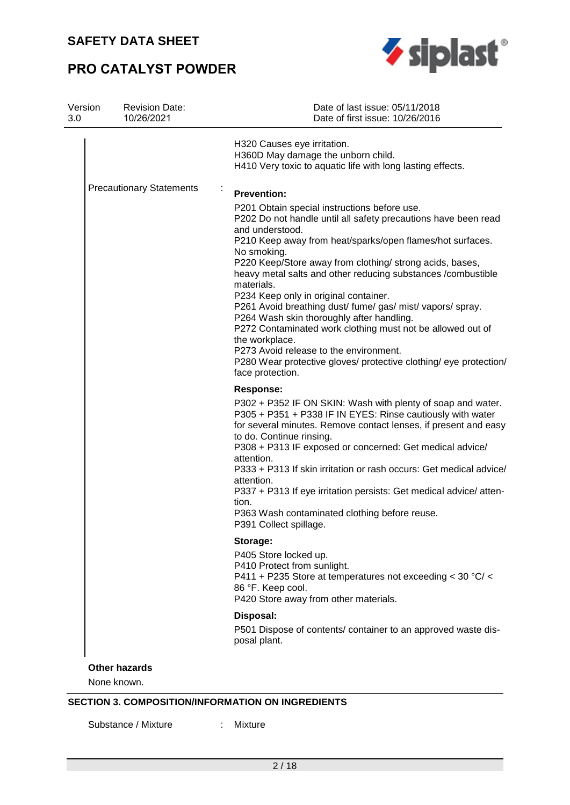# **PRO CATALYST POWDER**



| Version<br>3.0 | <b>Revision Date:</b><br>10/26/2021 | Date of last issue: 05/11/2018<br>Date of first issue: 10/26/2016                                                                                                                                                                                                                                                                                                                                                                                                                                                                                                                                                                                                                                                              |
|----------------|-------------------------------------|--------------------------------------------------------------------------------------------------------------------------------------------------------------------------------------------------------------------------------------------------------------------------------------------------------------------------------------------------------------------------------------------------------------------------------------------------------------------------------------------------------------------------------------------------------------------------------------------------------------------------------------------------------------------------------------------------------------------------------|
|                |                                     | H320 Causes eye irritation.<br>H360D May damage the unborn child.<br>H410 Very toxic to aquatic life with long lasting effects.                                                                                                                                                                                                                                                                                                                                                                                                                                                                                                                                                                                                |
|                | <b>Precautionary Statements</b>     | <b>Prevention:</b>                                                                                                                                                                                                                                                                                                                                                                                                                                                                                                                                                                                                                                                                                                             |
|                |                                     | P201 Obtain special instructions before use.<br>P202 Do not handle until all safety precautions have been read<br>and understood.<br>P210 Keep away from heat/sparks/open flames/hot surfaces.<br>No smoking.<br>P220 Keep/Store away from clothing/ strong acids, bases,<br>heavy metal salts and other reducing substances /combustible<br>materials.<br>P234 Keep only in original container.<br>P261 Avoid breathing dust/ fume/ gas/ mist/ vapors/ spray.<br>P264 Wash skin thoroughly after handling.<br>P272 Contaminated work clothing must not be allowed out of<br>the workplace.<br>P273 Avoid release to the environment.<br>P280 Wear protective gloves/ protective clothing/ eye protection/<br>face protection. |
|                |                                     | <b>Response:</b><br>P302 + P352 IF ON SKIN: Wash with plenty of soap and water.<br>P305 + P351 + P338 IF IN EYES: Rinse cautiously with water<br>for several minutes. Remove contact lenses, if present and easy<br>to do. Continue rinsing.<br>P308 + P313 IF exposed or concerned: Get medical advice/<br>attention.<br>P333 + P313 If skin irritation or rash occurs: Get medical advice/<br>attention.<br>P337 + P313 If eye irritation persists: Get medical advice/atten-<br>tion.<br>P363 Wash contaminated clothing before reuse.<br>P391 Collect spillage.                                                                                                                                                            |
|                |                                     | Storage:<br>P405 Store locked up.<br>P410 Protect from sunlight.<br>P411 + P235 Store at temperatures not exceeding < 30 °C/ <<br>86 °F. Keep cool.<br>P420 Store away from other materials.                                                                                                                                                                                                                                                                                                                                                                                                                                                                                                                                   |
|                |                                     | Disposal:                                                                                                                                                                                                                                                                                                                                                                                                                                                                                                                                                                                                                                                                                                                      |
|                |                                     | P501 Dispose of contents/ container to an approved waste dis-<br>posal plant.                                                                                                                                                                                                                                                                                                                                                                                                                                                                                                                                                                                                                                                  |

**SECTION 3. COMPOSITION/INFORMATION ON INGREDIENTS** 

Substance / Mixture : Mixture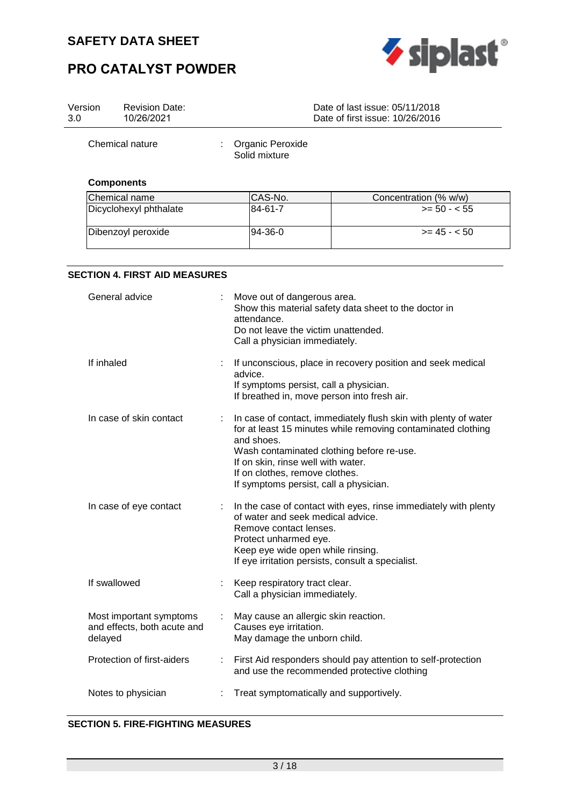



| Version<br>3.0 | <b>Revision Date:</b><br>10/26/2021                               |   |                                                                                                                              | Date of last issue: 05/11/2018<br>Date of first issue: 10/26/2016                                                                                                            |
|----------------|-------------------------------------------------------------------|---|------------------------------------------------------------------------------------------------------------------------------|------------------------------------------------------------------------------------------------------------------------------------------------------------------------------|
|                | Chemical nature                                                   |   | Organic Peroxide<br>Solid mixture                                                                                            |                                                                                                                                                                              |
|                | <b>Components</b>                                                 |   |                                                                                                                              |                                                                                                                                                                              |
|                | Chemical name                                                     |   | CAS-No.                                                                                                                      | Concentration (% w/w)                                                                                                                                                        |
|                | Dicyclohexyl phthalate                                            |   | 84-61-7                                                                                                                      | $>= 50 - 55$                                                                                                                                                                 |
|                | Dibenzoyl peroxide                                                |   | 94-36-0                                                                                                                      | $>= 45 - 50$                                                                                                                                                                 |
|                | <b>SECTION 4. FIRST AID MEASURES</b>                              |   |                                                                                                                              |                                                                                                                                                                              |
|                | General advice                                                    |   | Move out of dangerous area.<br>attendance.<br>Do not leave the victim unattended.<br>Call a physician immediately.           | Show this material safety data sheet to the doctor in                                                                                                                        |
|                | If inhaled                                                        |   | advice.<br>If symptoms persist, call a physician.                                                                            | If unconscious, place in recovery position and seek medical<br>If breathed in, move person into fresh air.                                                                   |
|                | In case of skin contact                                           |   | and shoes.<br>If on skin, rinse well with water.<br>If on clothes, remove clothes.<br>If symptoms persist, call a physician. | In case of contact, immediately flush skin with plenty of water<br>for at least 15 minutes while removing contaminated clothing<br>Wash contaminated clothing before re-use. |
|                | In case of eye contact                                            | ÷ | of water and seek medical advice.<br>Remove contact lenses.<br>Protect unharmed eye.<br>Keep eye wide open while rinsing.    | In the case of contact with eyes, rinse immediately with plenty<br>If eye irritation persists, consult a specialist.                                                         |
|                | If swallowed                                                      |   | Keep respiratory tract clear.<br>Call a physician immediately.                                                               |                                                                                                                                                                              |
|                | Most important symptoms<br>and effects, both acute and<br>delayed |   | May cause an allergic skin reaction.<br>Causes eye irritation.<br>May damage the unborn child.                               |                                                                                                                                                                              |
|                | Protection of first-aiders                                        |   |                                                                                                                              | First Aid responders should pay attention to self-protection<br>and use the recommended protective clothing                                                                  |
|                | Notes to physician                                                |   | Treat symptomatically and supportively.                                                                                      |                                                                                                                                                                              |

## **SECTION 5. FIRE-FIGHTING MEASURES**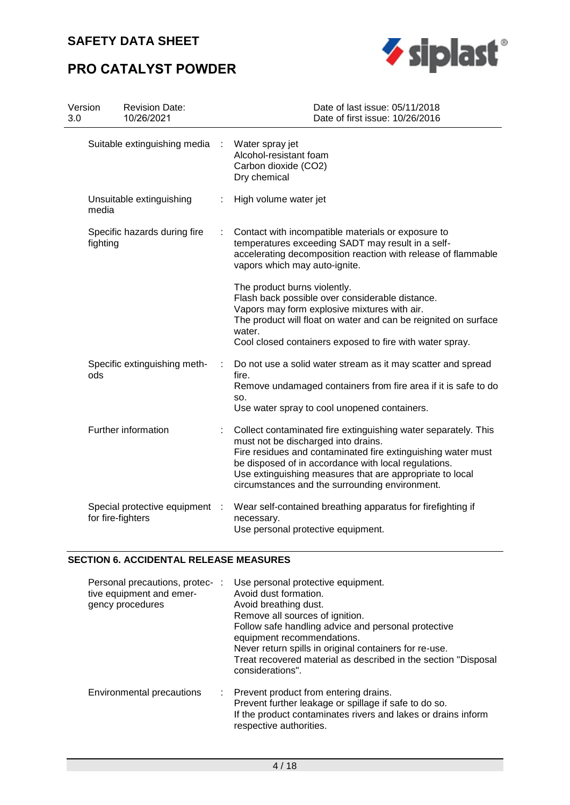# **PRO CATALYST POWDER**



| Version<br><b>Revision Date:</b><br>10/26/2021<br>3.0 |   | Date of last issue: 05/11/2018<br>Date of first issue: 10/26/2016                                                                                                                                                                                                                                                                           |
|-------------------------------------------------------|---|---------------------------------------------------------------------------------------------------------------------------------------------------------------------------------------------------------------------------------------------------------------------------------------------------------------------------------------------|
| Suitable extinguishing media                          |   | Water spray jet<br>Alcohol-resistant foam<br>Carbon dioxide (CO2)<br>Dry chemical                                                                                                                                                                                                                                                           |
| Unsuitable extinguishing<br>media                     |   | High volume water jet                                                                                                                                                                                                                                                                                                                       |
| Specific hazards during fire<br>fighting              | ÷ | Contact with incompatible materials or exposure to<br>temperatures exceeding SADT may result in a self-<br>accelerating decomposition reaction with release of flammable<br>vapors which may auto-ignite.                                                                                                                                   |
|                                                       |   | The product burns violently.<br>Flash back possible over considerable distance.<br>Vapors may form explosive mixtures with air.<br>The product will float on water and can be reignited on surface<br>water.<br>Cool closed containers exposed to fire with water spray.                                                                    |
| Specific extinguishing meth-<br>ods                   | ÷ | Do not use a solid water stream as it may scatter and spread<br>fire.<br>Remove undamaged containers from fire area if it is safe to do<br>SO.<br>Use water spray to cool unopened containers.                                                                                                                                              |
| Further information                                   |   | Collect contaminated fire extinguishing water separately. This<br>must not be discharged into drains.<br>Fire residues and contaminated fire extinguishing water must<br>be disposed of in accordance with local regulations.<br>Use extinguishing measures that are appropriate to local<br>circumstances and the surrounding environment. |
| Special protective equipment<br>for fire-fighters     |   | Wear self-contained breathing apparatus for firefighting if<br>necessary.<br>Use personal protective equipment.                                                                                                                                                                                                                             |

## **SECTION 6. ACCIDENTAL RELEASE MEASURES**

| Personal precautions, protec- :<br>tive equipment and emer-<br>gency procedures | Use personal protective equipment.<br>Avoid dust formation.<br>Avoid breathing dust.<br>Remove all sources of ignition.<br>Follow safe handling advice and personal protective<br>equipment recommendations.<br>Never return spills in original containers for re-use.<br>Treat recovered material as described in the section "Disposal<br>considerations". |
|---------------------------------------------------------------------------------|--------------------------------------------------------------------------------------------------------------------------------------------------------------------------------------------------------------------------------------------------------------------------------------------------------------------------------------------------------------|
| Environmental precautions                                                       | : Prevent product from entering drains.<br>Prevent further leakage or spillage if safe to do so.<br>If the product contaminates rivers and lakes or drains inform<br>respective authorities.                                                                                                                                                                 |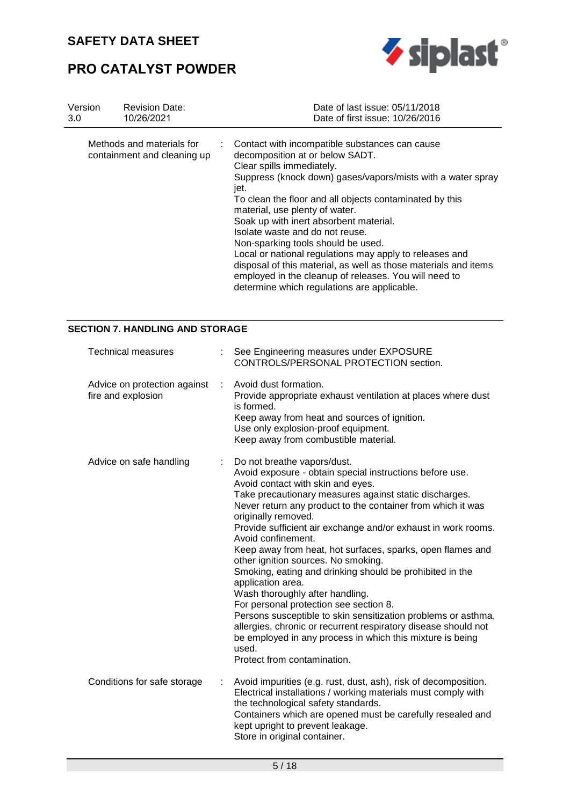

# **PRO CATALYST POWDER**

| Version | <b>Revision Date:</b>                                    | Date of last issue: 05/11/2018                                                                                                                                                                                                                                                                                                                                                                                                                                                                                                                                                                                                              |
|---------|----------------------------------------------------------|---------------------------------------------------------------------------------------------------------------------------------------------------------------------------------------------------------------------------------------------------------------------------------------------------------------------------------------------------------------------------------------------------------------------------------------------------------------------------------------------------------------------------------------------------------------------------------------------------------------------------------------------|
| 3.0     | 10/26/2021                                               | Date of first issue: 10/26/2016                                                                                                                                                                                                                                                                                                                                                                                                                                                                                                                                                                                                             |
|         | Methods and materials for<br>containment and cleaning up | Contact with incompatible substances can cause<br>decomposition at or below SADT.<br>Clear spills immediately.<br>Suppress (knock down) gases/vapors/mists with a water spray<br>jet.<br>To clean the floor and all objects contaminated by this<br>material, use plenty of water.<br>Soak up with inert absorbent material.<br>Isolate waste and do not reuse.<br>Non-sparking tools should be used.<br>Local or national regulations may apply to releases and<br>disposal of this material, as well as those materials and items<br>employed in the cleanup of releases. You will need to<br>determine which regulations are applicable. |

### **SECTION 7. HANDLING AND STORAGE**

| <b>Technical measures</b>                          |   | See Engineering measures under EXPOSURE<br>CONTROLS/PERSONAL PROTECTION section.                                                                                                                                                                                                                                                                                                                                                                                                                                                                                                                                                                                                                                                                                                                                                                                               |
|----------------------------------------------------|---|--------------------------------------------------------------------------------------------------------------------------------------------------------------------------------------------------------------------------------------------------------------------------------------------------------------------------------------------------------------------------------------------------------------------------------------------------------------------------------------------------------------------------------------------------------------------------------------------------------------------------------------------------------------------------------------------------------------------------------------------------------------------------------------------------------------------------------------------------------------------------------|
| Advice on protection against<br>fire and explosion | ÷ | Avoid dust formation.<br>Provide appropriate exhaust ventilation at places where dust<br>is formed.<br>Keep away from heat and sources of ignition.<br>Use only explosion-proof equipment.<br>Keep away from combustible material.                                                                                                                                                                                                                                                                                                                                                                                                                                                                                                                                                                                                                                             |
| Advice on safe handling                            |   | Do not breathe vapors/dust.<br>Avoid exposure - obtain special instructions before use.<br>Avoid contact with skin and eyes.<br>Take precautionary measures against static discharges.<br>Never return any product to the container from which it was<br>originally removed.<br>Provide sufficient air exchange and/or exhaust in work rooms.<br>Avoid confinement.<br>Keep away from heat, hot surfaces, sparks, open flames and<br>other ignition sources. No smoking.<br>Smoking, eating and drinking should be prohibited in the<br>application area.<br>Wash thoroughly after handling.<br>For personal protection see section 8.<br>Persons susceptible to skin sensitization problems or asthma,<br>allergies, chronic or recurrent respiratory disease should not<br>be employed in any process in which this mixture is being<br>used.<br>Protect from contamination. |
| Conditions for safe storage                        | ÷ | Avoid impurities (e.g. rust, dust, ash), risk of decomposition.<br>Electrical installations / working materials must comply with<br>the technological safety standards.<br>Containers which are opened must be carefully resealed and<br>kept upright to prevent leakage.<br>Store in original container.                                                                                                                                                                                                                                                                                                                                                                                                                                                                                                                                                                      |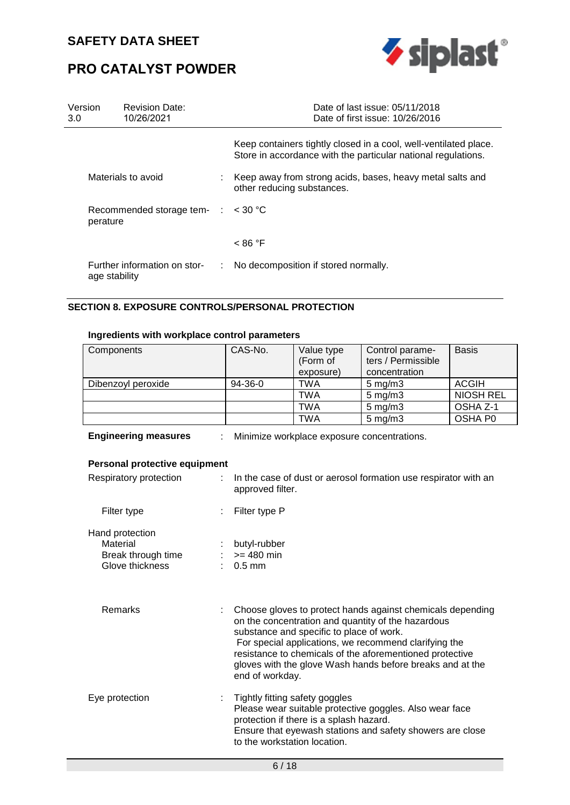

# **PRO CATALYST POWDER**

| Version<br>3.0 | <b>Revision Date:</b><br>10/26/2021           |   | Date of last issue: 05/11/2018<br>Date of first issue: 10/26/2016                                                                 |
|----------------|-----------------------------------------------|---|-----------------------------------------------------------------------------------------------------------------------------------|
|                |                                               |   | Keep containers tightly closed in a cool, well-ventilated place.<br>Store in accordance with the particular national regulations. |
|                | Materials to avoid                            |   | Keep away from strong acids, bases, heavy metal salts and<br>other reducing substances.                                           |
| perature       | Recommended storage tem- $\therefore$ < 30 °C |   |                                                                                                                                   |
|                |                                               |   | < 86 °F                                                                                                                           |
|                | Further information on stor-<br>age stability | ÷ | No decomposition if stored normally.                                                                                              |

### **SECTION 8. EXPOSURE CONTROLS/PERSONAL PROTECTION**

### **Ingredients with workplace control parameters**

| Components         | CAS-No. | Value type<br>(Form of | Control parame-<br>ters / Permissible | <b>Basis</b>     |
|--------------------|---------|------------------------|---------------------------------------|------------------|
|                    |         | exposure)              | concentration                         |                  |
| Dibenzoyl peroxide | 94-36-0 | TWA                    | $5 \text{ mg/m}$                      | <b>ACGIH</b>     |
|                    |         | <b>TWA</b>             | $5 \text{ mg/m}$ 3                    | <b>NIOSH REL</b> |
|                    |         | TWA                    | $5 \text{ mg/m}$ 3                    | OSHA Z-1         |
|                    |         | TWA                    | $5 \text{ mg/m}$ 3                    | OSHA P0          |

**Engineering measures** : Minimize workplace exposure concentrations.

| Personal protective equipment                                        |                                                                                                                                                                                                                                                                                                                                                                   |  |  |  |
|----------------------------------------------------------------------|-------------------------------------------------------------------------------------------------------------------------------------------------------------------------------------------------------------------------------------------------------------------------------------------------------------------------------------------------------------------|--|--|--|
| Respiratory protection                                               | : In the case of dust or aerosol formation use respirator with an<br>approved filter.                                                                                                                                                                                                                                                                             |  |  |  |
| Filter type                                                          | Filter type P                                                                                                                                                                                                                                                                                                                                                     |  |  |  |
| Hand protection<br>Material<br>Break through time<br>Glove thickness | : butyl-rubber<br>$: z = 480$ min<br>$: 0.5$ mm                                                                                                                                                                                                                                                                                                                   |  |  |  |
| Remarks                                                              | Choose gloves to protect hands against chemicals depending<br>on the concentration and quantity of the hazardous<br>substance and specific to place of work.<br>For special applications, we recommend clarifying the<br>resistance to chemicals of the aforementioned protective<br>gloves with the glove Wash hands before breaks and at the<br>end of workday. |  |  |  |
| Eye protection                                                       | Tightly fitting safety goggles<br>Please wear suitable protective goggles. Also wear face<br>protection if there is a splash hazard.<br>Ensure that eyewash stations and safety showers are close<br>to the workstation location.                                                                                                                                 |  |  |  |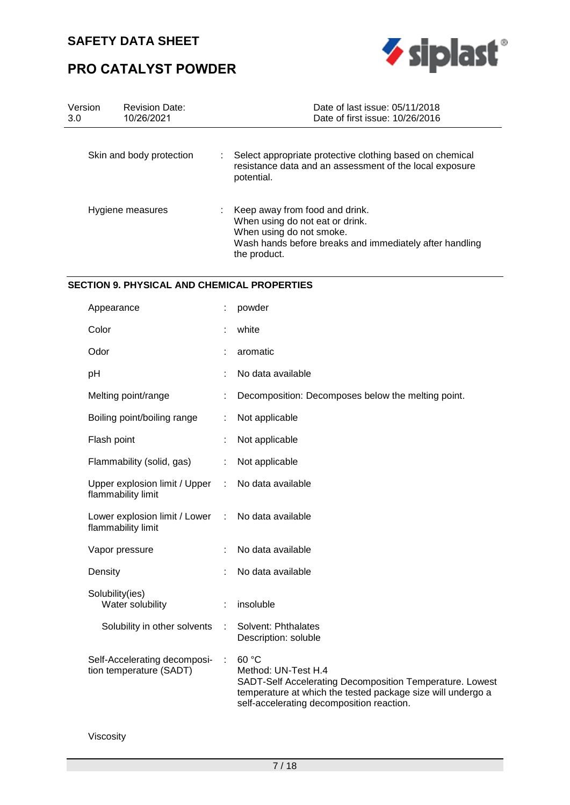

# **PRO CATALYST POWDER**

| Version<br>3.0   | <b>Revision Date:</b><br>10/26/2021 | Date of last issue: 05/11/2018<br>Date of first issue: 10/26/2016                                                                                                        |
|------------------|-------------------------------------|--------------------------------------------------------------------------------------------------------------------------------------------------------------------------|
|                  | Skin and body protection            | Select appropriate protective clothing based on chemical<br>÷<br>resistance data and an assessment of the local exposure<br>potential.                                   |
| Hygiene measures |                                     | Keep away from food and drink.<br>When using do not eat or drink.<br>When using do not smoke.<br>Wash hands before breaks and immediately after handling<br>the product. |

### **SECTION 9. PHYSICAL AND CHEMICAL PROPERTIES**

| Appearance                                                       |   | powder                                                                                                                                                                                               |
|------------------------------------------------------------------|---|------------------------------------------------------------------------------------------------------------------------------------------------------------------------------------------------------|
| Color                                                            |   | white                                                                                                                                                                                                |
| Odor                                                             |   | aromatic                                                                                                                                                                                             |
| pH                                                               |   | No data available                                                                                                                                                                                    |
| Melting point/range                                              |   | Decomposition: Decomposes below the melting point.                                                                                                                                                   |
| Boiling point/boiling range                                      |   | Not applicable                                                                                                                                                                                       |
| Flash point                                                      |   | Not applicable                                                                                                                                                                                       |
| Flammability (solid, gas)                                        |   | Not applicable                                                                                                                                                                                       |
| Upper explosion limit / Upper<br>flammability limit              |   | No data available                                                                                                                                                                                    |
| Lower explosion limit / Lower<br>$\sim$ 1.<br>flammability limit |   | No data available                                                                                                                                                                                    |
| Vapor pressure                                                   |   | No data available                                                                                                                                                                                    |
| Density                                                          |   | No data available                                                                                                                                                                                    |
| Solubility(ies)<br>Water solubility                              |   | insoluble                                                                                                                                                                                            |
| Solubility in other solvents                                     | ÷ | Solvent: Phthalates<br>Description: soluble                                                                                                                                                          |
| Self-Accelerating decomposi-<br>tion temperature (SADT)          |   | 60 °C<br>Method: UN-Test H.4<br>SADT-Self Accelerating Decomposition Temperature. Lowest<br>temperature at which the tested package size will undergo a<br>self-accelerating decomposition reaction. |

Viscosity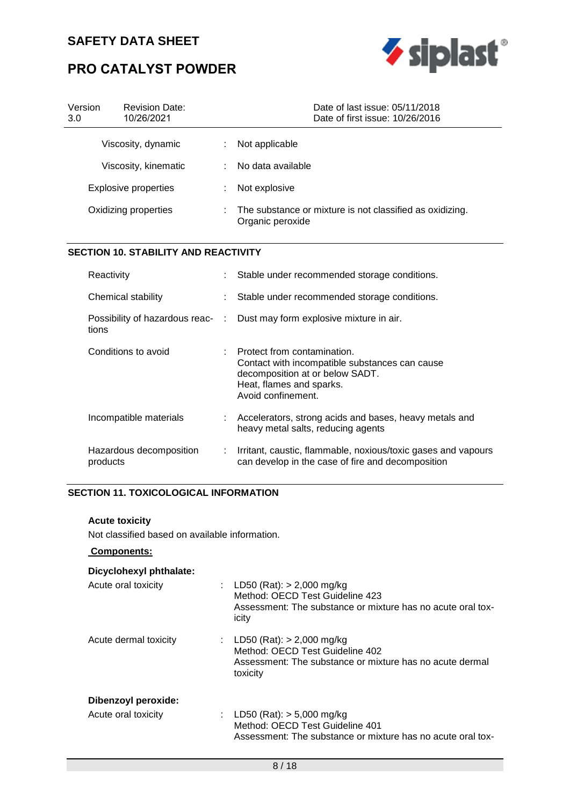# **PRO CATALYST POWDER**



| Version<br>3.0       | <b>Revision Date:</b><br>10/26/2021         | Date of last issue: 05/11/2018<br>Date of first issue: 10/26/2016                                                                                                  |  |
|----------------------|---------------------------------------------|--------------------------------------------------------------------------------------------------------------------------------------------------------------------|--|
|                      | Viscosity, dynamic                          | Not applicable                                                                                                                                                     |  |
|                      | Viscosity, kinematic                        | No data available                                                                                                                                                  |  |
|                      | <b>Explosive properties</b>                 | Not explosive                                                                                                                                                      |  |
| Oxidizing properties |                                             | The substance or mixture is not classified as oxidizing.<br>Organic peroxide                                                                                       |  |
|                      | <b>SECTION 10. STABILITY AND REACTIVITY</b> |                                                                                                                                                                    |  |
|                      | Reactivity                                  | Stable under recommended storage conditions.                                                                                                                       |  |
|                      | Chemical stability                          | Stable under recommended storage conditions.                                                                                                                       |  |
|                      | Possibility of hazardous reac-<br>tions     | Dust may form explosive mixture in air.                                                                                                                            |  |
|                      | Conditions to avoid                         | Protect from contamination.<br>Contact with incompatible substances can cause<br>decomposition at or below SADT.<br>Heat, flames and sparks.<br>Avoid confinement. |  |
|                      | Incompatible materials                      | Accelerators, strong acids and bases, heavy metals and<br>heavy metal salts, reducing agents                                                                       |  |
|                      | Hazardous decomposition<br>products         | Irritant, caustic, flammable, noxious/toxic gases and vapours<br>can develop in the case of fire and decomposition                                                 |  |

## **SECTION 11. TOXICOLOGICAL INFORMATION**

### **Acute toxicity**

Not classified based on available information.

 **Components:** 

## **Dicyclohexyl phthalate:**

| Acute oral toxicity        | : LD50 (Rat): $> 2,000$ mg/kg<br>Method: OECD Test Guideline 423<br>Assessment: The substance or mixture has no acute oral tox-<br>icity |
|----------------------------|------------------------------------------------------------------------------------------------------------------------------------------|
| Acute dermal toxicity      | : LD50 (Rat): $>$ 2,000 mg/kg<br>Method: OECD Test Guideline 402<br>Assessment: The substance or mixture has no acute dermal<br>toxicity |
| <b>Dibenzoyl peroxide:</b> |                                                                                                                                          |

| Acute oral toxicity |  | : LD50 (Rat): $>$ 5,000 mg/kg                               |
|---------------------|--|-------------------------------------------------------------|
|                     |  | Method: OECD Test Guideline 401                             |
|                     |  | Assessment: The substance or mixture has no acute oral tox- |
|                     |  |                                                             |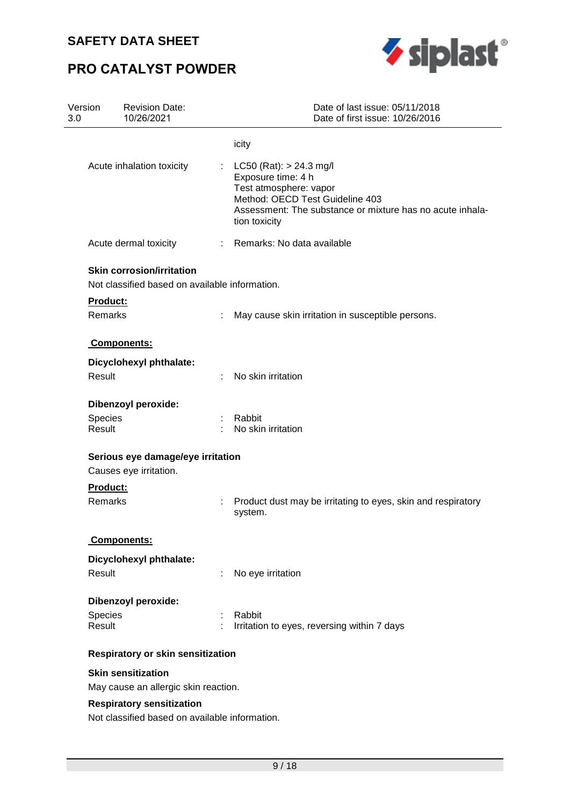# **PRO CATALYST POWDER**



| Version<br>3.0    | <b>Revision Date:</b><br>10/26/2021                               | Date of last issue: 05/11/2018<br>Date of first issue: 10/26/2016                                                                                                                            |
|-------------------|-------------------------------------------------------------------|----------------------------------------------------------------------------------------------------------------------------------------------------------------------------------------------|
|                   |                                                                   | icity                                                                                                                                                                                        |
|                   | Acute inhalation toxicity                                         | : $LC50 (Rat): > 24.3 mg/l$<br>Exposure time: 4 h<br>Test atmosphere: vapor<br>Method: OECD Test Guideline 403<br>Assessment: The substance or mixture has no acute inhala-<br>tion toxicity |
|                   | Acute dermal toxicity                                             | : Remarks: No data available                                                                                                                                                                 |
|                   | <b>Skin corrosion/irritation</b>                                  |                                                                                                                                                                                              |
|                   | Not classified based on available information.                    |                                                                                                                                                                                              |
| <b>Product:</b>   |                                                                   |                                                                                                                                                                                              |
| Remarks           |                                                                   | May cause skin irritation in susceptible persons.                                                                                                                                            |
|                   | Components:                                                       |                                                                                                                                                                                              |
|                   | Dicyclohexyl phthalate:                                           |                                                                                                                                                                                              |
| Result            |                                                                   | No skin irritation                                                                                                                                                                           |
|                   | <b>Dibenzoyl peroxide:</b>                                        |                                                                                                                                                                                              |
| Species<br>Result |                                                                   | : Rabbit<br>No skin irritation                                                                                                                                                               |
|                   | Serious eye damage/eye irritation                                 |                                                                                                                                                                                              |
|                   | Causes eye irritation.                                            |                                                                                                                                                                                              |
| Product:          |                                                                   |                                                                                                                                                                                              |
| Remarks           |                                                                   | Product dust may be irritating to eyes, skin and respiratory<br>system.                                                                                                                      |
|                   | <b>Components:</b>                                                |                                                                                                                                                                                              |
|                   | Dicyclohexyl phthalate:                                           |                                                                                                                                                                                              |
| Result            |                                                                   | No eye irritation                                                                                                                                                                            |
|                   | <b>Dibenzoyl peroxide:</b>                                        |                                                                                                                                                                                              |
| Species           |                                                                   | Rabbit                                                                                                                                                                                       |
| Result            |                                                                   | Irritation to eyes, reversing within 7 days                                                                                                                                                  |
|                   | Respiratory or skin sensitization                                 |                                                                                                                                                                                              |
|                   | <b>Skin sensitization</b><br>May cause an allergic skin reaction. |                                                                                                                                                                                              |
|                   | <b>Respiratory sensitization</b>                                  |                                                                                                                                                                                              |
|                   | Not classified based on available information.                    |                                                                                                                                                                                              |
|                   |                                                                   |                                                                                                                                                                                              |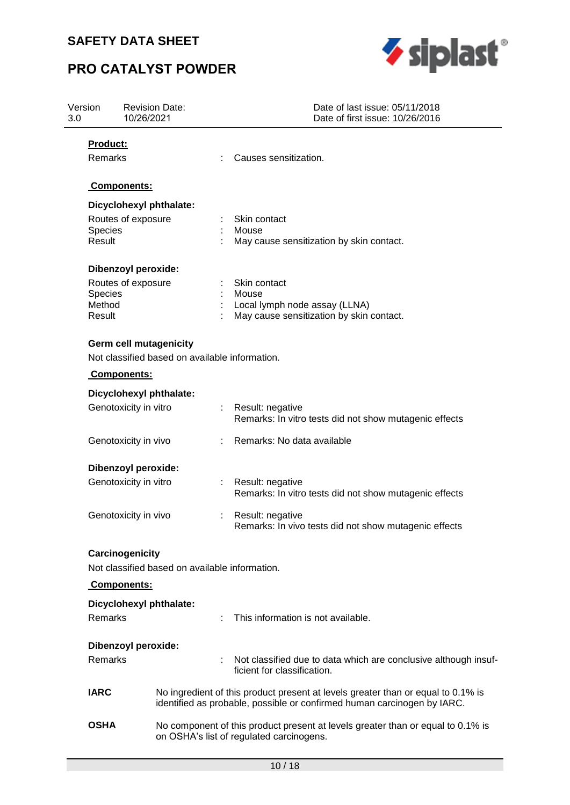# **PRO CATALYST POWDER**



| Version<br>3.0 |                          | <b>Revision Date:</b><br>10/26/2021            | Date of last issue: 05/11/2018<br>Date of first issue: 10/26/2016                                                                                           |  |  |
|----------------|--------------------------|------------------------------------------------|-------------------------------------------------------------------------------------------------------------------------------------------------------------|--|--|
|                | Product:                 |                                                |                                                                                                                                                             |  |  |
|                | Remarks                  |                                                | Causes sensitization.                                                                                                                                       |  |  |
|                |                          | Components:                                    |                                                                                                                                                             |  |  |
|                |                          | Dicyclohexyl phthalate:                        |                                                                                                                                                             |  |  |
|                |                          | Routes of exposure                             | Skin contact                                                                                                                                                |  |  |
|                | Species<br>Result        |                                                | Mouse<br>May cause sensitization by skin contact.                                                                                                           |  |  |
|                |                          |                                                |                                                                                                                                                             |  |  |
|                |                          | <b>Dibenzoyl peroxide:</b>                     |                                                                                                                                                             |  |  |
|                |                          | Routes of exposure                             | Skin contact                                                                                                                                                |  |  |
|                | <b>Species</b><br>Method |                                                | Mouse<br>Local lymph node assay (LLNA)                                                                                                                      |  |  |
|                | Result                   |                                                | May cause sensitization by skin contact.                                                                                                                    |  |  |
|                |                          |                                                |                                                                                                                                                             |  |  |
|                |                          | <b>Germ cell mutagenicity</b>                  |                                                                                                                                                             |  |  |
|                |                          | Not classified based on available information. |                                                                                                                                                             |  |  |
|                |                          | Components:                                    |                                                                                                                                                             |  |  |
|                |                          | Dicyclohexyl phthalate:                        |                                                                                                                                                             |  |  |
|                |                          | Genotoxicity in vitro                          | : Result: negative<br>Remarks: In vitro tests did not show mutagenic effects                                                                                |  |  |
|                |                          | Genotoxicity in vivo                           | Remarks: No data available                                                                                                                                  |  |  |
|                |                          | <b>Dibenzoyl peroxide:</b>                     |                                                                                                                                                             |  |  |
|                |                          | Genotoxicity in vitro                          | Result: negative<br>Remarks: In vitro tests did not show mutagenic effects                                                                                  |  |  |
|                |                          | Genotoxicity in vivo                           | Result: negative<br>Remarks: In vivo tests did not show mutagenic effects                                                                                   |  |  |
|                |                          | Carcinogenicity                                |                                                                                                                                                             |  |  |
|                |                          | Not classified based on available information. |                                                                                                                                                             |  |  |
|                |                          | Components:                                    |                                                                                                                                                             |  |  |
|                |                          | Dicyclohexyl phthalate:                        |                                                                                                                                                             |  |  |
|                | Remarks                  |                                                | This information is not available.                                                                                                                          |  |  |
|                |                          | <b>Dibenzoyl peroxide:</b>                     |                                                                                                                                                             |  |  |
|                | Remarks                  |                                                | Not classified due to data which are conclusive although insuf-<br>ficient for classification.                                                              |  |  |
|                | <b>IARC</b>              |                                                | No ingredient of this product present at levels greater than or equal to 0.1% is<br>identified as probable, possible or confirmed human carcinogen by IARC. |  |  |
|                | <b>OSHA</b>              |                                                | No component of this product present at levels greater than or equal to 0.1% is<br>on OSHA's list of regulated carcinogens.                                 |  |  |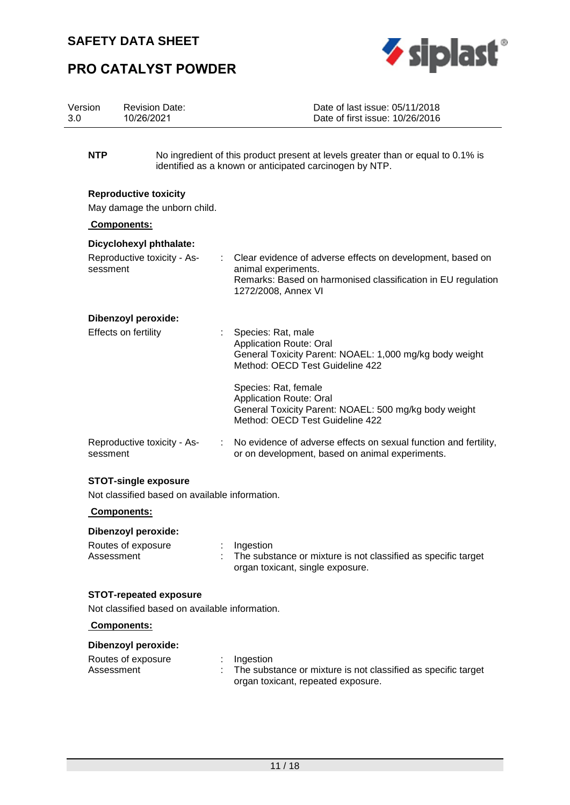

# **PRO CATALYST POWDER**

| Version | <b>Revision Date:</b> | Date of last issue: 05/11/2018  |
|---------|-----------------------|---------------------------------|
| 3.0     | 10/26/2021            | Date of first issue: 10/26/2016 |
|         |                       |                                 |

**NTP** No ingredient of this product present at levels greater than or equal to 0.1% is identified as a known or anticipated carcinogen by NTP.

#### **Reproductive toxicity**

May damage the unborn child.

#### **Components:**

| Dicyclohexyl phthalate:<br>Reproductive toxicity - As-<br>$\mathcal{L}^{\mathcal{L}}$<br>sessment |  | Clear evidence of adverse effects on development, based on<br>animal experiments.<br>Remarks: Based on harmonised classification in EU regulation<br>1272/2008, Annex VI |  |
|---------------------------------------------------------------------------------------------------|--|--------------------------------------------------------------------------------------------------------------------------------------------------------------------------|--|
| Dibenzoyl peroxide:                                                                               |  |                                                                                                                                                                          |  |
| Effects on fertility                                                                              |  | : Species: Rat, male<br><b>Application Route: Oral</b><br>General Toxicity Parent: NOAEL: 1,000 mg/kg body weight<br>Method: OECD Test Guideline 422                     |  |
|                                                                                                   |  | Species: Rat, female<br><b>Application Route: Oral</b><br>General Toxicity Parent: NOAEL: 500 mg/kg body weight<br>Method: OECD Test Guideline 422                       |  |
| Reproductive toxicity - As-<br>sessment                                                           |  | : No evidence of adverse effects on sexual function and fertility,<br>or on development, based on animal experiments.                                                    |  |

### **STOT-single exposure**

Not classified based on available information.

### **Components:**

#### **Dibenzoyl peroxide:**

| Routes of exposure |  | Ingestion                                                     |
|--------------------|--|---------------------------------------------------------------|
| Assessment         |  | The substance or mixture is not classified as specific target |
|                    |  | organ toxicant, single exposure.                              |

### **STOT-repeated exposure**

Not classified based on available information.

### **Components:**

### **Dibenzoyl peroxide:**

| Routes of exposure |  | Ingestion                                                     |
|--------------------|--|---------------------------------------------------------------|
| Assessment         |  | The substance or mixture is not classified as specific target |
|                    |  | organ toxicant, repeated exposure.                            |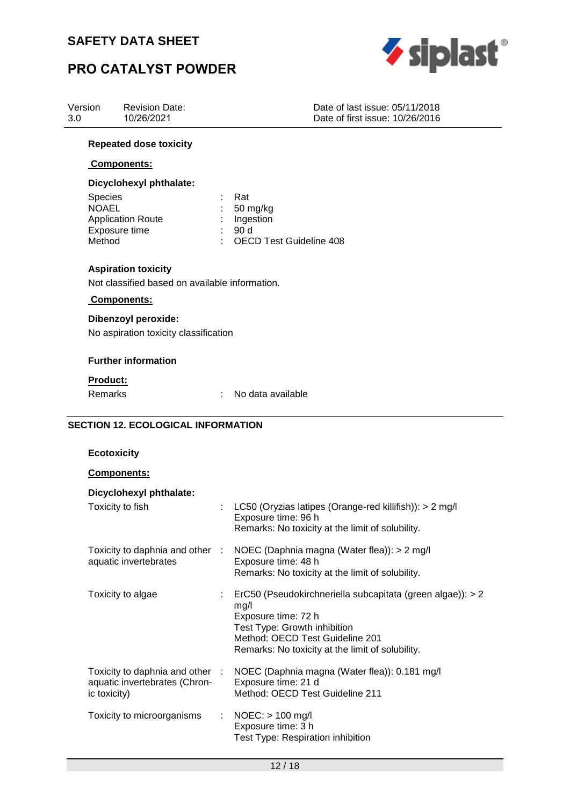

# **PRO CATALYST POWDER**

| Version<br>3.0          | <b>Revision Date:</b><br>10/26/2021 |                           | Date of last issue: 05/11/2018<br>Date of first issue: 10/26/2016 |
|-------------------------|-------------------------------------|---------------------------|-------------------------------------------------------------------|
|                         | <b>Repeated dose toxicity</b>       |                           |                                                                   |
|                         | <b>Components:</b>                  |                           |                                                                   |
|                         | Dicyclohexyl phthalate:             |                           |                                                                   |
| <b>Species</b><br>NOAFI |                                     | Rat<br>$50 \text{ m}$ aka |                                                                   |

| <b>Species</b>           | кат                       |
|--------------------------|---------------------------|
| <b>NOAEL</b>             | $: 50 \text{ mg/kg}$      |
| <b>Application Route</b> | $:$ Ingestion             |
| Exposure time            | - 90 Y                    |
| Method                   | : OECD Test Guideline 408 |
|                          |                           |

## **Aspiration toxicity**

Not classified based on available information.

### **Components:**

## **Dibenzoyl peroxide:**

No aspiration toxicity classification

### **Further information**

#### **Product:**

Remarks : No data available

### **SECTION 12. ECOLOGICAL INFORMATION**

### **Ecotoxicity**

### **Components:**

| Dicyclohexyl phthalate:                                                          |                                                                                                                                                                                                                               |
|----------------------------------------------------------------------------------|-------------------------------------------------------------------------------------------------------------------------------------------------------------------------------------------------------------------------------|
| Toxicity to fish                                                                 | : LC50 (Oryzias latipes (Orange-red killifish)): $> 2$ mg/l<br>Exposure time: 96 h<br>Remarks: No toxicity at the limit of solubility.                                                                                        |
| aquatic invertebrates                                                            | Toxicity to daphnia and other : NOEC (Daphnia magna (Water flea)): > 2 mg/l<br>Exposure time: 48 h<br>Remarks: No toxicity at the limit of solubility.                                                                        |
| Toxicity to algae                                                                | $\therefore$ ErC50 (Pseudokirchneriella subcapitata (green algae)): > 2<br>mg/l<br>Exposure time: 72 h<br>Test Type: Growth inhibition<br>Method: OECD Test Guideline 201<br>Remarks: No toxicity at the limit of solubility. |
| Toxicity to daphnia and other :<br>aquatic invertebrates (Chron-<br>ic toxicity) | NOEC (Daphnia magna (Water flea)): 0.181 mg/l<br>Exposure time: 21 d<br>Method: OECD Test Guideline 211                                                                                                                       |
| Toxicity to microorganisms                                                       | $\therefore$ NOEC: $>$ 100 mg/l<br>Exposure time: 3 h<br>Test Type: Respiration inhibition                                                                                                                                    |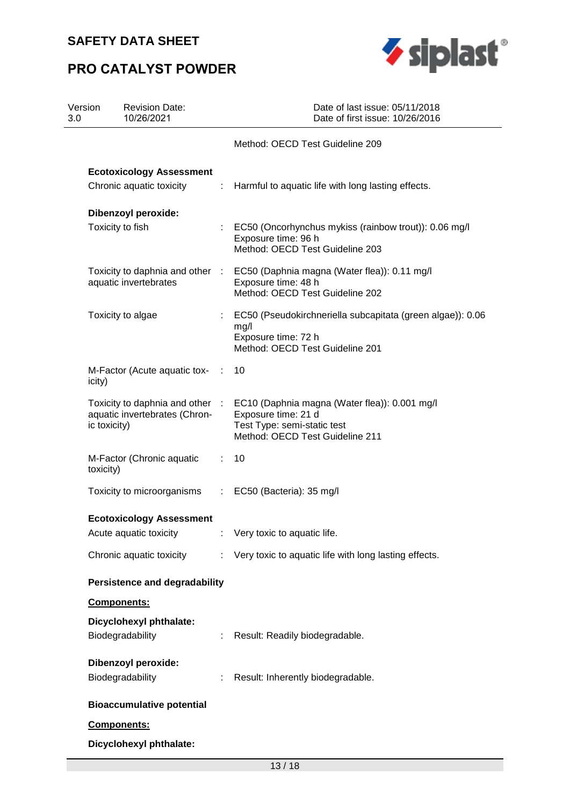# **PRO CATALYST POWDER**



| Version<br>3.0 | <b>Revision Date:</b><br>10/26/2021            |              | Date of last issue: 05/11/2018<br>Date of first issue: 10/26/2016                                                                                                      |
|----------------|------------------------------------------------|--------------|------------------------------------------------------------------------------------------------------------------------------------------------------------------------|
|                |                                                |              | Method: OECD Test Guideline 209                                                                                                                                        |
|                | <b>Ecotoxicology Assessment</b>                |              |                                                                                                                                                                        |
|                | Chronic aquatic toxicity                       |              | : Harmful to aquatic life with long lasting effects.                                                                                                                   |
|                | <b>Dibenzoyl peroxide:</b>                     |              |                                                                                                                                                                        |
|                | Toxicity to fish                               |              | : EC50 (Oncorhynchus mykiss (rainbow trout)): 0.06 mg/l<br>Exposure time: 96 h<br>Method: OECD Test Guideline 203                                                      |
|                | aquatic invertebrates                          |              | Toxicity to daphnia and other : EC50 (Daphnia magna (Water flea)): 0.11 mg/l<br>Exposure time: 48 h<br>Method: OECD Test Guideline 202                                 |
|                | Toxicity to algae                              |              | : EC50 (Pseudokirchneriella subcapitata (green algae)): 0.06<br>mg/l<br>Exposure time: 72 h<br>Method: OECD Test Guideline 201                                         |
| icity)         | M-Factor (Acute aquatic tox-                   | <b>COLLE</b> | 10                                                                                                                                                                     |
| ic toxicity)   | aquatic invertebrates (Chron-                  |              | Toxicity to daphnia and other : EC10 (Daphnia magna (Water flea)): 0.001 mg/l<br>Exposure time: 21 d<br>Test Type: semi-static test<br>Method: OECD Test Guideline 211 |
| toxicity)      | M-Factor (Chronic aquatic                      | ÷.           | 10                                                                                                                                                                     |
|                | Toxicity to microorganisms                     |              | $\therefore$ EC50 (Bacteria): 35 mg/l                                                                                                                                  |
|                | <b>Ecotoxicology Assessment</b>                |              |                                                                                                                                                                        |
|                |                                                |              | Acute aquatic toxicity : Very toxic to aquatic life.                                                                                                                   |
|                | Chronic aquatic toxicity                       |              | : Very toxic to aquatic life with long lasting effects.                                                                                                                |
|                | <b>Persistence and degradability</b>           |              |                                                                                                                                                                        |
|                | Components:                                    |              |                                                                                                                                                                        |
|                | Dicyclohexyl phthalate:<br>Biodegradability    |              | Result: Readily biodegradable.                                                                                                                                         |
|                | <b>Dibenzoyl peroxide:</b><br>Biodegradability |              | : Result: Inherently biodegradable.                                                                                                                                    |
|                | <b>Bioaccumulative potential</b>               |              |                                                                                                                                                                        |
|                | Components:                                    |              |                                                                                                                                                                        |
|                | Dicyclohexyl phthalate:                        |              |                                                                                                                                                                        |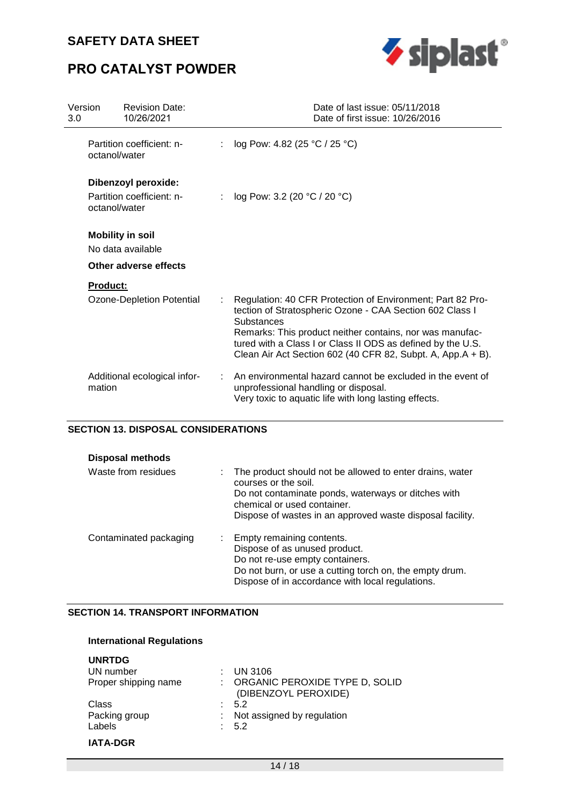# **PRO CATALYST POWDER**



| Version<br>3.0 | <b>Revision Date:</b><br>10/26/2021                               | Date of last issue: 05/11/2018<br>Date of first issue: 10/26/2016                                                                                                                                                                                                                                                                     |
|----------------|-------------------------------------------------------------------|---------------------------------------------------------------------------------------------------------------------------------------------------------------------------------------------------------------------------------------------------------------------------------------------------------------------------------------|
|                | Partition coefficient: n-<br>octanol/water                        | log Pow: 4.82 (25 °C / 25 °C)                                                                                                                                                                                                                                                                                                         |
|                | Dibenzoyl peroxide:<br>Partition coefficient: n-<br>octanol/water | : $log Pow: 3.2 (20 °C / 20 °C)$                                                                                                                                                                                                                                                                                                      |
|                | <b>Mobility in soil</b><br>No data available                      |                                                                                                                                                                                                                                                                                                                                       |
|                | Other adverse effects                                             |                                                                                                                                                                                                                                                                                                                                       |
|                | <b>Product:</b>                                                   |                                                                                                                                                                                                                                                                                                                                       |
|                | Ozone-Depletion Potential                                         | Regulation: 40 CFR Protection of Environment; Part 82 Pro-<br>tection of Stratospheric Ozone - CAA Section 602 Class I<br><b>Substances</b><br>Remarks: This product neither contains, nor was manufac-<br>tured with a Class I or Class II ODS as defined by the U.S.<br>Clean Air Act Section 602 (40 CFR 82, Subpt. A, App.A + B). |
|                | Additional ecological infor-<br>mation                            | An environmental hazard cannot be excluded in the event of<br>unprofessional handling or disposal.<br>Very toxic to aquatic life with long lasting effects.                                                                                                                                                                           |

### **SECTION 13. DISPOSAL CONSIDERATIONS**

| <b>Disposal methods</b> |                                                                                                                                                                                                                                     |
|-------------------------|-------------------------------------------------------------------------------------------------------------------------------------------------------------------------------------------------------------------------------------|
| Waste from residues     | The product should not be allowed to enter drains, water<br>courses or the soil.<br>Do not contaminate ponds, waterways or ditches with<br>chemical or used container.<br>Dispose of wastes in an approved waste disposal facility. |
| Contaminated packaging  | Empty remaining contents.<br>Dispose of as unused product.<br>Do not re-use empty containers.<br>Do not burn, or use a cutting torch on, the empty drum.<br>Dispose of in accordance with local regulations.                        |

### **SECTION 14. TRANSPORT INFORMATION**

## **International Regulations**

| <b>UNRTDG</b>        |                                                        |
|----------------------|--------------------------------------------------------|
| UN number            | <b>UN 3106</b>                                         |
| Proper shipping name | ORGANIC PEROXIDE TYPE D, SOLID<br>(DIBENZOYL PEROXIDE) |
| Class                | - 5.2                                                  |
| Packing group        | Not assigned by regulation                             |
| Labels               | : 5.2                                                  |
| <b>IATA-DGR</b>      |                                                        |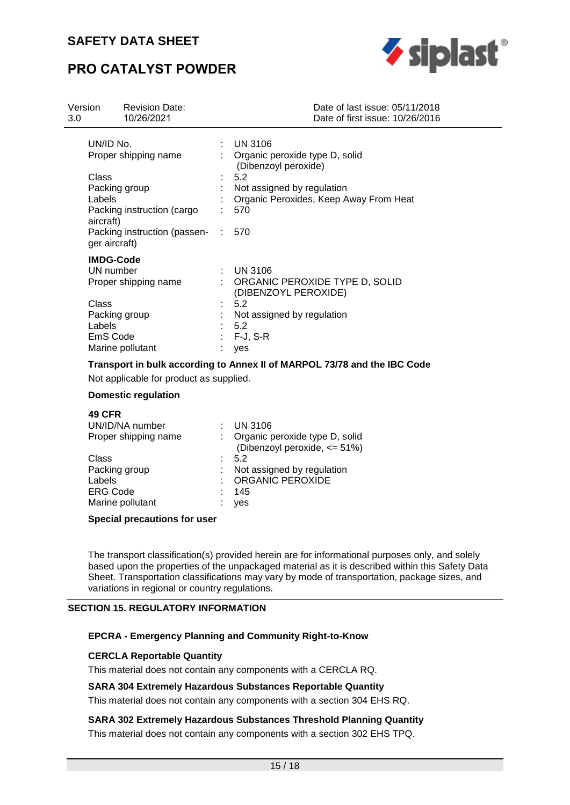# **PRO CATALYST POWDER**



| Version<br>3.0 | <b>Revision Date:</b><br>10/26/2021 | Date of last issue: 05/11/2018<br>Date of first issue: 10/26/2016 |
|----------------|-------------------------------------|-------------------------------------------------------------------|
| UN/ID No.      |                                     | $\therefore$ UN 3106                                              |
|                | Proper shipping name                | Organic peroxide type D, solid<br>(Dibenzoyl peroxide)            |
| Class          |                                     | 5.2                                                               |
|                | Packing group                       | Not assigned by regulation                                        |
| Labels         |                                     | Organic Peroxides, Keep Away From Heat                            |
| aircraft)      | Packing instruction (cargo          | 570                                                               |
| ger aircraft)  | Packing instruction (passen-        | 570                                                               |
|                | <b>IMDG-Code</b>                    |                                                                   |
|                | UN number                           | $\therefore$ UN 3106                                              |
|                | Proper shipping name                | : ORGANIC PEROXIDE TYPE D, SOLID<br>(DIBENZOYL PEROXIDE)          |
| Class          |                                     | 5.2                                                               |
|                | Packing group                       | Not assigned by regulation                                        |
| Labels         |                                     | 5.2                                                               |
| EmS Code       |                                     | $F-J, S-R$                                                        |
|                | Marine pollutant                    | yes                                                               |

### **Transport in bulk according to Annex II of MARPOL 73/78 and the IBC Code**

Not applicable for product as supplied.

#### **Domestic regulation**

#### **49 CFR**

| <b>UN 3106</b><br>: Organic peroxide type D, solid<br>(Dibenzoyl peroxide, <= 51%) |
|------------------------------------------------------------------------------------|
| $\therefore$ 5.2                                                                   |
| : Not assigned by regulation                                                       |
| : ORGANIC PEROXIDE                                                                 |
| 145                                                                                |
| ves                                                                                |
|                                                                                    |

### **Special precautions for user**

The transport classification(s) provided herein are for informational purposes only, and solely based upon the properties of the unpackaged material as it is described within this Safety Data Sheet. Transportation classifications may vary by mode of transportation, package sizes, and variations in regional or country regulations.

#### **SECTION 15. REGULATORY INFORMATION**

#### **EPCRA - Emergency Planning and Community Right-to-Know**

#### **CERCLA Reportable Quantity**

This material does not contain any components with a CERCLA RQ.

#### **SARA 304 Extremely Hazardous Substances Reportable Quantity**

This material does not contain any components with a section 304 EHS RQ.

**SARA 302 Extremely Hazardous Substances Threshold Planning Quantity**  This material does not contain any components with a section 302 EHS TPQ.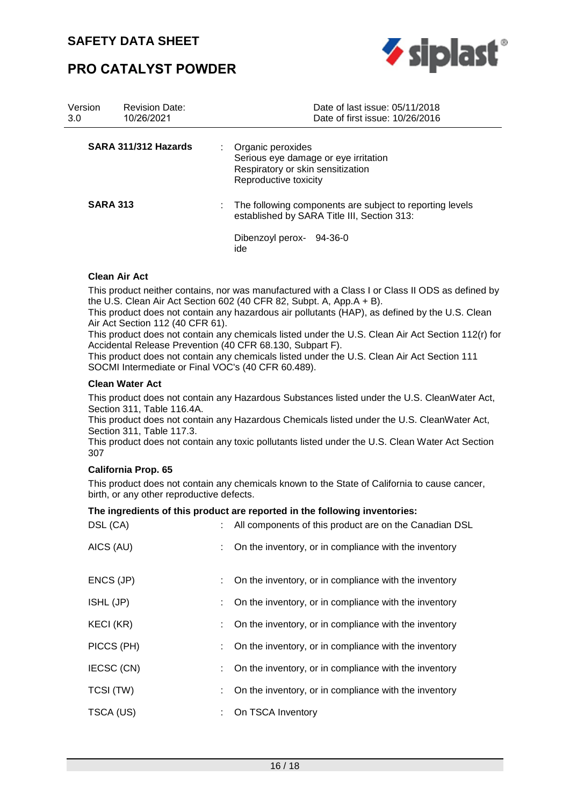## **PRO CATALYST POWDER**



| Version<br>3.0  | <b>Revision Date:</b><br>10/26/2021 |                                                                                                                              | Date of last issue: 05/11/2018<br>Date of first issue: 10/26/2016 |
|-----------------|-------------------------------------|------------------------------------------------------------------------------------------------------------------------------|-------------------------------------------------------------------|
|                 | SARA 311/312 Hazards                | Organic peroxides<br>÷<br>Serious eye damage or eye irritation<br>Respiratory or skin sensitization<br>Reproductive toxicity |                                                                   |
| <b>SARA 313</b> |                                     | established by SARA Title III, Section 313:                                                                                  | The following components are subject to reporting levels          |
|                 |                                     | Dibenzoyl perox-<br>ide                                                                                                      | 94-36-0                                                           |

### **Clean Air Act**

This product neither contains, nor was manufactured with a Class I or Class II ODS as defined by the U.S. Clean Air Act Section 602 (40 CFR 82, Subpt. A, App.A + B).

This product does not contain any hazardous air pollutants (HAP), as defined by the U.S. Clean Air Act Section 112 (40 CFR 61).

This product does not contain any chemicals listed under the U.S. Clean Air Act Section 112(r) for Accidental Release Prevention (40 CFR 68.130, Subpart F).

This product does not contain any chemicals listed under the U.S. Clean Air Act Section 111 SOCMI Intermediate or Final VOC's (40 CFR 60.489).

#### **Clean Water Act**

This product does not contain any Hazardous Substances listed under the U.S. CleanWater Act, Section 311, Table 116.4A.

This product does not contain any Hazardous Chemicals listed under the U.S. CleanWater Act, Section 311, Table 117.3.

This product does not contain any toxic pollutants listed under the U.S. Clean Water Act Section 307

#### **California Prop. 65**

This product does not contain any chemicals known to the State of California to cause cancer, birth, or any other reproductive defects.

#### **The ingredients of this product are reported in the following inventories:**

| DSL (CA)         | All components of this product are on the Canadian DSL |
|------------------|--------------------------------------------------------|
| AICS (AU)        | On the inventory, or in compliance with the inventory  |
| ENCS (JP)        | On the inventory, or in compliance with the inventory  |
| ISHL (JP)        | On the inventory, or in compliance with the inventory  |
| <b>KECI (KR)</b> | On the inventory, or in compliance with the inventory  |
| PICCS (PH)       | On the inventory, or in compliance with the inventory  |
| IECSC (CN)       | On the inventory, or in compliance with the inventory  |
| TCSI (TW)        | On the inventory, or in compliance with the inventory  |
| TSCA (US)        | On TSCA Inventory                                      |
|                  |                                                        |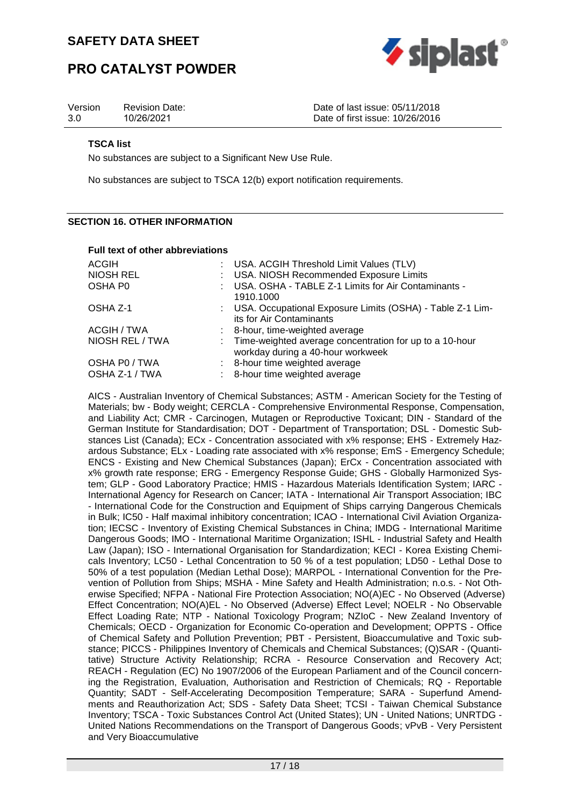



| Version | <b>Revision Date:</b> | Date of last issue: 05/11/2018  |
|---------|-----------------------|---------------------------------|
| 3.0     | 10/26/2021            | Date of first issue: 10/26/2016 |

#### **TSCA list**

No substances are subject to a Significant New Use Rule.

No substances are subject to TSCA 12(b) export notification requirements.

### **SECTION 16. OTHER INFORMATION**

| <b>Full text of other abbreviations</b>                                                        |
|------------------------------------------------------------------------------------------------|
| : USA. ACGIH Threshold Limit Values (TLV)                                                      |
| : USA. NIOSH Recommended Exposure Limits                                                       |
| : USA. OSHA - TABLE Z-1 Limits for Air Contaminants -<br>1910.1000                             |
| : USA. Occupational Exposure Limits (OSHA) - Table Z-1 Lim-<br>its for Air Contaminants        |
| : 8-hour, time-weighted average                                                                |
| : Time-weighted average concentration for up to a 10-hour<br>workday during a 40-hour workweek |
| : 8-hour time weighted average                                                                 |
| : 8-hour time weighted average                                                                 |
|                                                                                                |

AICS - Australian Inventory of Chemical Substances; ASTM - American Society for the Testing of Materials; bw - Body weight; CERCLA - Comprehensive Environmental Response, Compensation, and Liability Act; CMR - Carcinogen, Mutagen or Reproductive Toxicant; DIN - Standard of the German Institute for Standardisation; DOT - Department of Transportation; DSL - Domestic Substances List (Canada); ECx - Concentration associated with x% response; EHS - Extremely Hazardous Substance; ELx - Loading rate associated with x% response; EmS - Emergency Schedule; ENCS - Existing and New Chemical Substances (Japan); ErCx - Concentration associated with x% growth rate response; ERG - Emergency Response Guide; GHS - Globally Harmonized System; GLP - Good Laboratory Practice; HMIS - Hazardous Materials Identification System; IARC - International Agency for Research on Cancer; IATA - International Air Transport Association; IBC - International Code for the Construction and Equipment of Ships carrying Dangerous Chemicals in Bulk; IC50 - Half maximal inhibitory concentration; ICAO - International Civil Aviation Organization; IECSC - Inventory of Existing Chemical Substances in China; IMDG - International Maritime Dangerous Goods; IMO - International Maritime Organization; ISHL - Industrial Safety and Health Law (Japan); ISO - International Organisation for Standardization; KECI - Korea Existing Chemicals Inventory; LC50 - Lethal Concentration to 50 % of a test population; LD50 - Lethal Dose to 50% of a test population (Median Lethal Dose); MARPOL - International Convention for the Prevention of Pollution from Ships; MSHA - Mine Safety and Health Administration; n.o.s. - Not Otherwise Specified; NFPA - National Fire Protection Association; NO(A)EC - No Observed (Adverse) Effect Concentration; NO(A)EL - No Observed (Adverse) Effect Level; NOELR - No Observable Effect Loading Rate; NTP - National Toxicology Program; NZIoC - New Zealand Inventory of Chemicals; OECD - Organization for Economic Co-operation and Development; OPPTS - Office of Chemical Safety and Pollution Prevention; PBT - Persistent, Bioaccumulative and Toxic substance; PICCS - Philippines Inventory of Chemicals and Chemical Substances; (Q)SAR - (Quantitative) Structure Activity Relationship; RCRA - Resource Conservation and Recovery Act; REACH - Regulation (EC) No 1907/2006 of the European Parliament and of the Council concerning the Registration, Evaluation, Authorisation and Restriction of Chemicals; RQ - Reportable Quantity; SADT - Self-Accelerating Decomposition Temperature; SARA - Superfund Amendments and Reauthorization Act; SDS - Safety Data Sheet; TCSI - Taiwan Chemical Substance Inventory; TSCA - Toxic Substances Control Act (United States); UN - United Nations; UNRTDG - United Nations Recommendations on the Transport of Dangerous Goods; vPvB - Very Persistent and Very Bioaccumulative